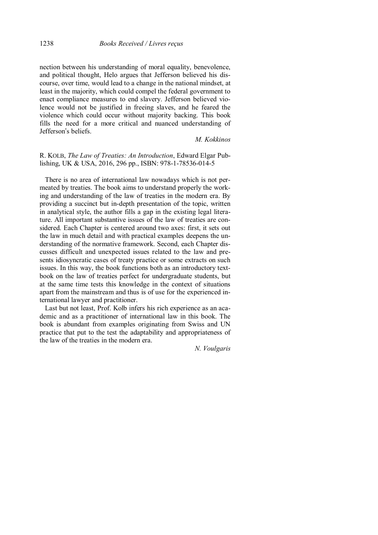nection between his understanding of moral equality, benevolence, and political thought, Helo argues that Jefferson believed his discourse, over time, would lead to a change in the national mindset, at least in the majority, which could compel the federal government to enact compliance measures to end slavery. Jefferson believed violence would not be justified in freeing slaves, and he feared the violence which could occur without majority backing. This book fills the need for a more critical and nuanced understanding of Jefferson's beliefs.

## *M. Kokkinos*

## R. KOLB, *The Law of Treaties: An Introduction*, Edward Elgar Publishing, UK & USA, 2016, 296 pp., ISBN: 978-1-78536-014-5

There is no area of international law nowadays which is not permeated by treaties. The book aims to understand properly the working and understanding of the law of treaties in the modern era. By providing a succinct but in-depth presentation of the topic, written in analytical style, the author fills a gap in the existing legal literature. All important substantive issues of the law of treaties are considered. Each Chapter is centered around two axes: first, it sets out the law in much detail and with practical examples deepens the understanding of the normative framework. Second, each Chapter discusses difficult and unexpected issues related to the law and presents idiosyncratic cases of treaty practice or some extracts on such issues. In this way, the book functions both as an introductory textbook on the law of treaties perfect for undergraduate students, but at the same time tests this knowledge in the context of situations apart from the mainstream and thus is of use for the experienced international lawyer and practitioner.

Last but not least, Prof. Kolb infers his rich experience as an academic and as a practitioner of international law in this book. The book is abundant from examples originating from Swiss and UN practice that put to the test the adaptability and appropriateness of the law of the treaties in the modern era.

*N. Voulgaris*